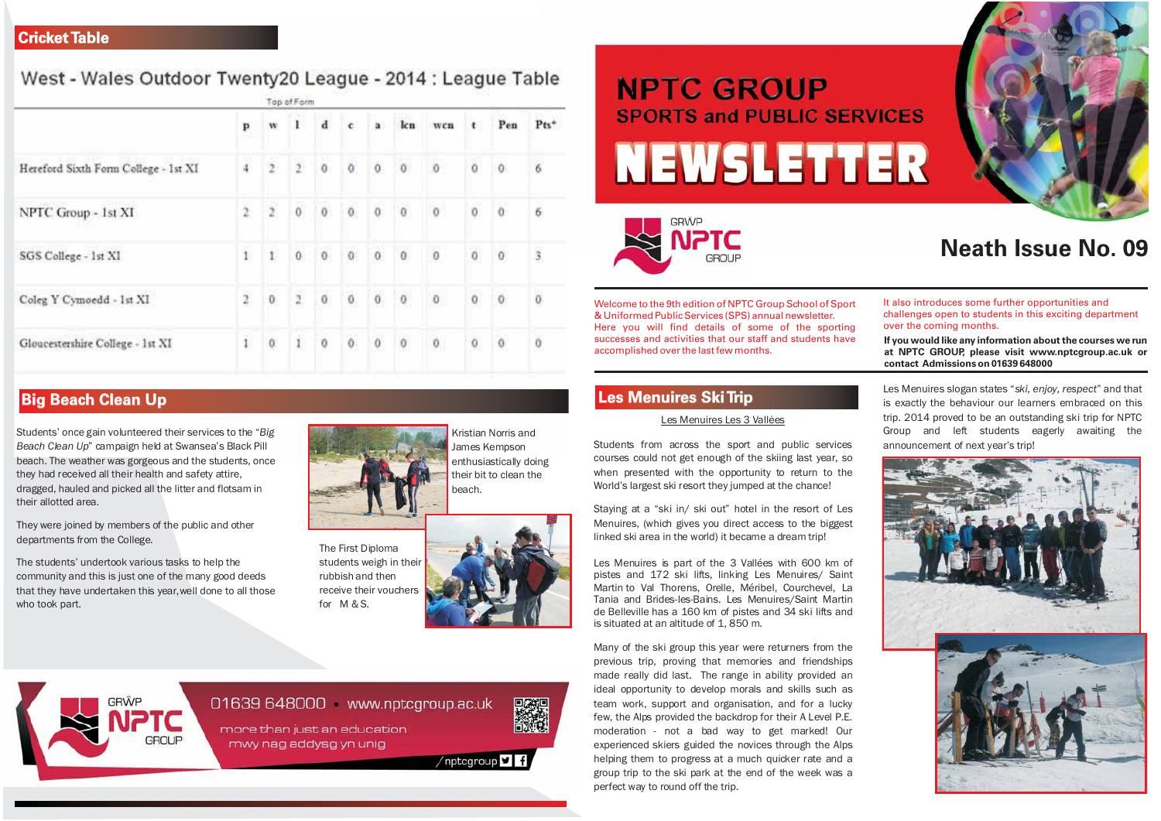# **Neath Issue No. 09**

Welcome to the 9th edition of NPTC Group School of Sport & Uniformed Public Services (SPS) annual newsletter. Here you will find details of some of the sporting successes and activities that our staff and students haveaccomplished over the last few months.

It also introduces some further opportunities and challenges open to students in this exciting department over the coming months.

**If you would like any information about the courses we run at NPTC GROUP, please visit www.nptcgroup.ac.uk or contact Admissions on 01639 648000**

Les Menuires is part of the 3 Vallées with 600 km of pistes and 172 ski lifts, linking Les Menuires/ Saint Martin to Val Thorens, Orelle, Méribel, Courchevel, La Tania and Brides-les-Bains. Les Menuires/Saint Martin de Belleville has <sup>a</sup> 160 km of pistes and 34 ski lifts and is situated at an altitude of 1, 850 m.

# West - Wales Outdoor Twenty20 League - 2014 : League Table

| Top of Form                |                    |                         |                     |                    |                    |                |                         |                     |                         |
|----------------------------|--------------------|-------------------------|---------------------|--------------------|--------------------|----------------|-------------------------|---------------------|-------------------------|
| W.                         | 1.                 | $\mathbf d$             | $\mathbf{C}$        | $\mathbf{a}$ :     | len.               | WCD            | <b>C</b>                | Pen                 | $Pcs^*$                 |
| $\bar{2}$                  | $2^\circ$          | $\overline{\mathbf{0}}$ | $\hat{Q}$           | $\dot{\mathbf{0}}$ | $\overline{0}$     | $0^\circ$      | $\ddot{\mathbf{0}}$     | $\ddot{\mathbf{0}}$ | $\tilde{6}$             |
| $\bar{2}$                  | $\ddot{\text{o}}$  | $\overline{0}$          | $\ddot{\mathbf{0}}$ | $\hat{0}$          | $\overline{0}$ .   | $\bar{0}$      | ö.                      | $\alpha$            | $\bar{6}$               |
| I.                         | $\hat{\mathbf{0}}$ | $\overline{0}$          | $\hat{0}$           | $\hat{\mathbf{0}}$ | $\dot{\mathbf{0}}$ | $\overline{0}$ | $\overline{\mathbf{0}}$ | $\bullet$           | $\overline{\mathbf{3}}$ |
| $\overline{0}$             | $\tilde{2}$        | $\hat{\mathbf{0}}$      | $\hat{\mathbf{0}}$  | $\mathbf{0}$       | $\boldsymbol{0}$   | $\mathbf{0}$   | $\mathbf{0}$            | $\bullet$           | $\overline{0}$          |
| Ö.                         | $\Gamma$           | $\bar{0}$               | $\mathbf{0}$        | $\mathbf{0}$       | $\dot{\mathbf{0}}$ | $\mathbf{0}$   | $\mathbb{O}$            | $\mathbf{0}$        | $\overline{0}$          |
| $\frac{1}{4}$<br>$\bar{1}$ | $\overline{2}$     |                         |                     |                    |                    |                |                         |                     |                         |

# **Les Menuires SkiTrip**

### Les Menuires Les 3 Vallėes

Students from across the sport and public services courses could not get enough of the skiing last year, so when presented with the opportunity to return to the World's largest ski resort they jumped at the chance!

Staying at <sup>a</sup> "ski in/ ski out" hotel in the resort of Les Menuires, (which gives you direct access to the biggest linked ski area in the world) it became <sup>a</sup> dream trip!

Many of the ski group this year were returners from the previous trip, proving that memories and friendships made really did last. The range in ability provided an ideal opportunity to develop morals and skills such as team work, support and organisation, and for <sup>a</sup> lucky few, the Alps provided the backdrop for their A Level P.E. moderation - not <sup>a</sup> bad way to get marked! Our experienced skiers guided the novices through the Alps helping them to progress at <sup>a</sup> much quicker rate and <sup>a</sup> group trip to the ski park at the end of the week was <sup>a</sup> perfect way to round off the trip.

Les Menuires slogan states "*ski, enjoy, respect*" and that is exactly the behaviour our learners embraced on this trip. 2014 proved to be an outstanding ski trip for NPTC Group and left students eagerly awaiting the announcement of next year's trip!



### **Big Beach Clean Up**

Students' once gain volunteered their services to the "*Big Beach Clean Up*" campaign held at Swansea's Black Pill beach. The weather was gorgeous and the students, once they had received all their health and safety attire, dragged, hauled and picked all the litter and flotsam in their allotted area.

They were joined by members of the public and other departments from the College.

The students' undertook various tasks to help the community and this is just one of the many good deeds that they have undertaken this year,well done to all those who took part.



Kristian Norris andJames Kempson enthusiastically doing their bit to clean the beach.





# 01639 648000 www.nptcgroup.ac.uk

more than just an education mwy nag addysg yn unig





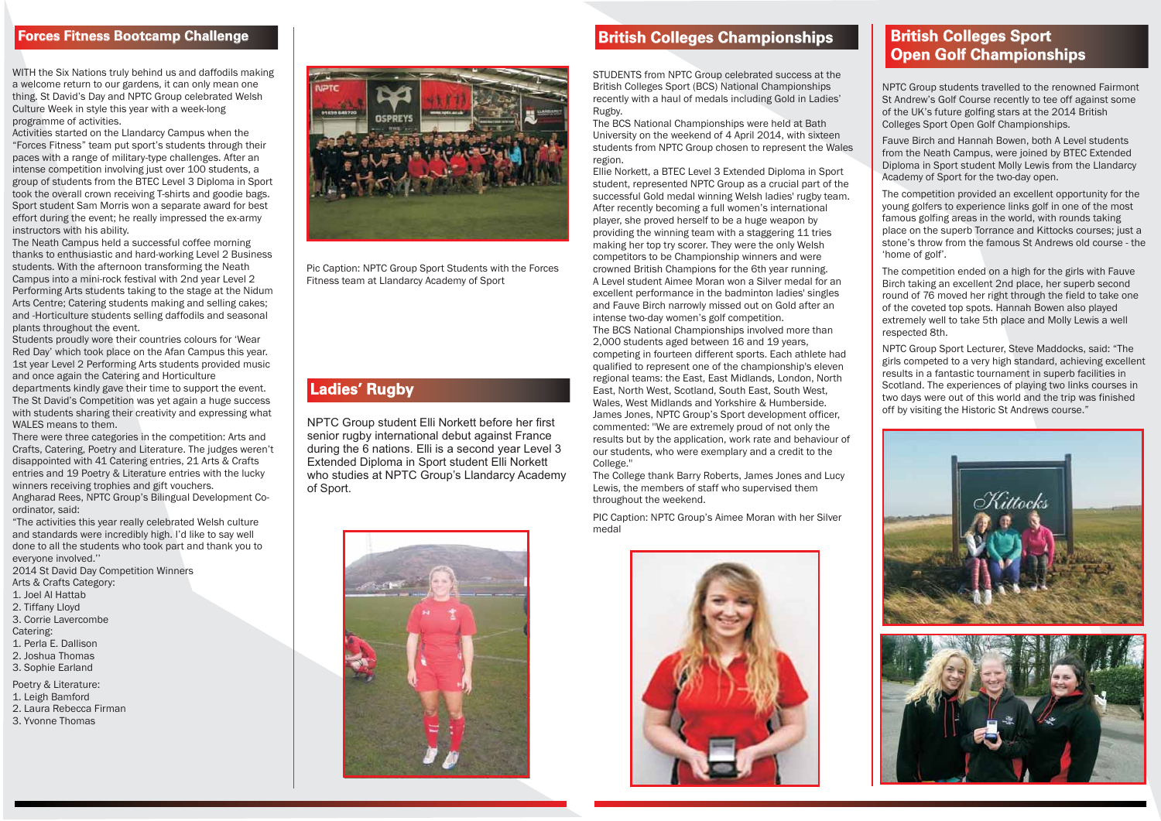### **Forces Fitness Bootcamp Challenge**

### **Ladies' Rugby**

## **British Colleges Championships British Colleges Sport**

# **Open Golf Championships**

WITH the Six Nations truly behind us and daffodils making <sup>a</sup> welcome return to our gardens, it can only mean one thing. St David's Day and NPTC Group celebrated Welsh Culture Week in style this year with <sup>a</sup> week-long programme of activities.

Activities started on the Llandarcy Campus when the "Forces Fitness" team put sport's students through their paces with <sup>a</sup> range of military-type challenges. After an intense competition involving just over 100 students, <sup>a</sup> group of students from the BTEC Level 3 Diploma in Sport took the overall crown receiving T-shirts and goodie bags. Sport student Sam Morris won <sup>a</sup> separate award for best effort during the event; he really impressed the ex-army instructors with his ability.

The Neath Campus held <sup>a</sup> successful coffee morning thanks to enthusiastic and hard-working Level 2 Business students. With the afternoon transforming the Neath Campus into <sup>a</sup> mini-rock festival with 2nd year Level 2 Performing Arts students taking to the stage at the Nidum Arts Centre; Catering students making and selling cakes; and -Horticulture students selling daffodils and seasonal plants throughout the event.

Students proudly wore their countries colours for 'Wear Red Day' which took place on the Afan Campus this year. 1st year Level 2 Performing Arts students provided music and once again the Catering and Horticulture

departments kindly gave their time to support the event. The St David's Competition was yet again <sup>a</sup> huge success with students sharing their creativity and expressing what WALES means to them.

There were three categories in the competition: Arts and Crafts, Catering, Poetry and Literature. The judges weren't disappointed with 41 Catering entries, 21 Arts & Crafts entries and 19 Poetry & Literature entries with the lucky winners receiving trophies and gift vouchers. Angharad Rees, NPTC Group's Bilingual Development Co-

ordinator, said:

"The activities this year really celebrated Welsh culture and standards were incredibly high. I'd like to say well done to all the students who took part and thank you to everyone involved.''

2014 St David Day Competition Winners Arts & Crafts Category:

- 1. Joel Al Hattab
- 2. Tiffany Lloyd
- 
- 3. Corrie Lavercombe Catering:
- 1. Perla E. Dallison
- 2. Joshua Thomas
- 3. Sophie Earland
- Poetry & Literature:
- 1. Leigh Bamford
- 2. Laura Rebecca Firman
- 3. Yvonne Thomas



Pic Caption: NPTC Group Sport Students with the Forces Fitness team at Llandarcy Academy of Sport

STUDENTS from NPTC Group celebrated success at the British Colleges Sport (BCS) National Championships recently with <sup>a</sup> haul of medals including Gold in Ladies' Rugby.

The BCS National Championships were held at Bath University on the weekend of 4 April 2014, with sixteen students from NPTC Group chosen to represent the Wales region.

Ellie Norkett, <sup>a</sup> BTEC Level 3 Extended Diploma in Sport student, represented NPTC Group as <sup>a</sup> crucial part of the successful Gold medal winning Welsh ladies' rugby team. After recently becoming <sup>a</sup> full women's international player, she proved herself to be <sup>a</sup> huge weapon by providing the winning team with <sup>a</sup> staggering 11 tries making her top try scorer. They were the only Welsh competitors to be Championship winners and were crowned British Champions for the 6th year running. A Level student Aimee Moran won a Silver medal for an excellent performance in the badminton ladies' singles and Fauve Birch narrowly missed out on Gold after an intense two-day women's golf competition.

The BCS National Championships involved more than 2,000 students aged between 16 and 19 years, competing in fourteen different sports. Each athlete had qualified to represent one of the championship's eleven regional teams: the East, East Midlands, London, North East, North West, Scotland, South East, South West, Wales, West Midlands and Yorkshire & Humberside. James Jones, NPTC Group's Sport development officer, commented: ''We are extremely proud of not only the results but by the application, work rate and behaviour of our students, who were exemplary and <sup>a</sup> credit to the College.''

The College thank Barry Roberts, James Jones and Lucy Lewis, the members of staff who supervised them throughout the weekend.

PIC Caption: NPTC Group's Aimee Moran with her Silver medal



NPTC Group students travelled to the renowned Fairmont St Andrew's Golf Course recently to tee off against some of the UK's future golfing stars at the 2014 British Colleges Sport Open Golf Championships.

Fauve Birch and Hannah Bowen, both A Level students from the Neath Campus, were joined by BTEC Extended Diploma in Sport student Molly Lewis from the Llandarcy Academy of Sport for the two-day open.

The competition provided an excellent opportunity for the young golfers to experience links golf in one of the most famous golfing areas in the world, with rounds taking place on the superb Torrance and Kittocks courses; just <sup>a</sup> stone's throw from the famous St Andrews old course - the 'home of golf'.

The competition ended on <sup>a</sup> high for the girls with Fauve Birch taking an excellent 2nd place, her superb second round of 76 moved her right through the field to take one of the coveted top spots. Hannah Bowen also played extremely well to take 5th place and Molly Lewis <sup>a</sup> well respected 8th.

NPTC Group Sport Lecturer, Steve Maddocks, said: "The girls competed to <sup>a</sup> very high standard, achieving excellent results in <sup>a</sup> fantastic tournament in superb facilities in Scotland. The experiences of playing two links courses in two days were out of this world and the trip was finished off by visiting the Historic St Andrews course."



NPTC Group student Elli Norkett before her first senior rugby international debut against France during the 6 nations. Elli is <sup>a</sup> second year Level 3 Extended Diploma in Sport student Elli Norkett who studies at NPTC Group's Llandarcy Academy of Sport.

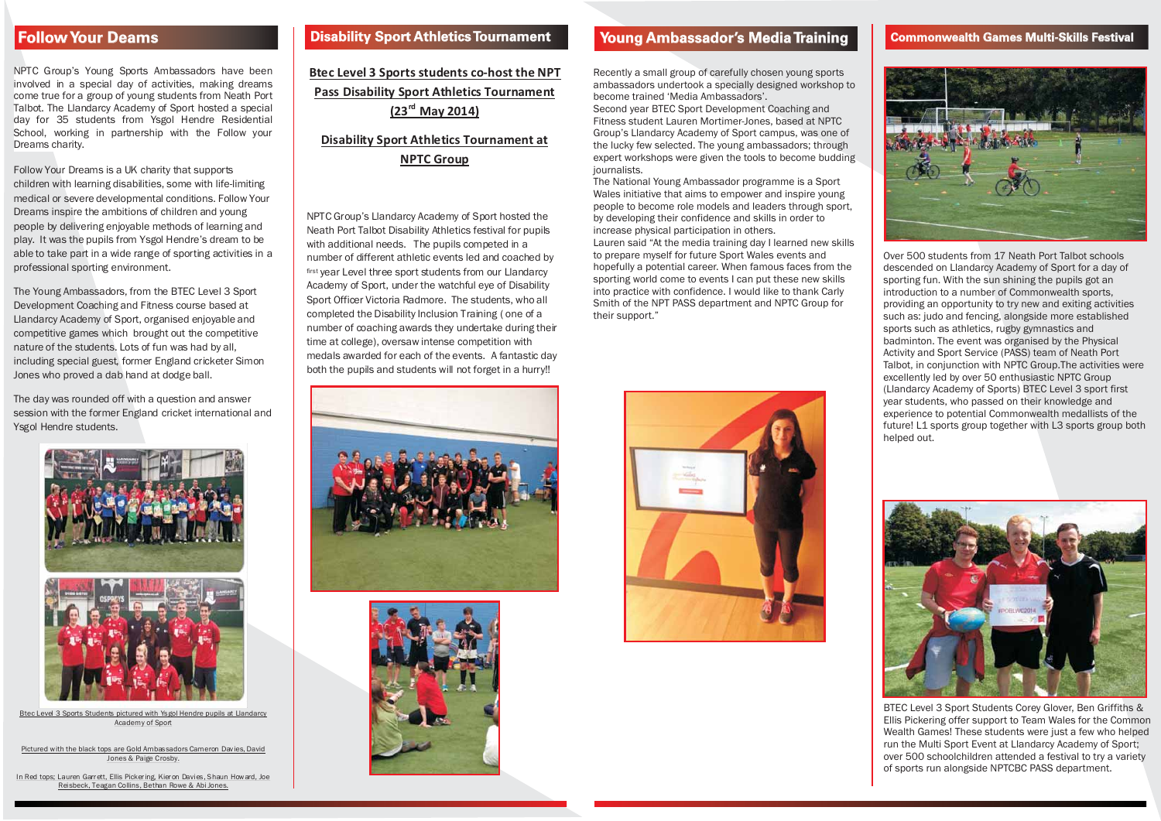### **FollowYour Deams**

NPTC Group's Young Sports Ambassadors have been involved in <sup>a</sup> special day of activities, making dreams come true for <sup>a</sup> group of young students from Neath Port Talbot. The Llandarcy Academy of Sport hosted <sup>a</sup> special day for 35 students from Ysgol Hendre Residential School, working in partnership with the Follow your Dreams charity.

Follow Your Dreams is <sup>a</sup> UK charity that supports children with learning disabilities, some with life-limiting medical or severe developmental conditions. Follow Your Dreams inspire the ambitions of children and young people by delivering enjoyable methods of learning and play. It was the pupils from Ysgol Hendre's dream to be able to take part in <sup>a</sup> wide range of sporting activities in <sup>a</sup> professional sporting environment.

Pictured with the black tops are Gold Ambassadors Cameron Davies, David Jones & Paige Crosby.

The Young Ambassadors, from the BTEC Level 3 Sport Development Coaching and Fitness course based at Llandarcy Academy of Sport, organised enjoyable and competitive games which brought out the competitive nature of the students. Lots of fun was had by all, including special guest, former England cricketer Simon Jones who proved <sup>a</sup> dab hand at dodge ball.

The day was rounded off with <sup>a</sup> question and answer session with the former England cricket international and Ysgol Hendre students.



Btec Level 3 Sports Students pictured with Ysgol Hendre pupils at Llandarcy Academy of Sport

In Red tops; Lauren Garr ett, Ellis Pickering, Kier on Davies, Shaun How ard, Joe Reisbeck, Teagan Collins, Bethan Rowe & Abi Jones.

**Btec Level 3 Sports students co-host the NPT Pass Disability Sport Athletics Tournament (23rd May 2014)**

### **Disability Sport Athletics Tournament at NPTC Group**

NPTC Group's Llandarcy Academy of Sport hosted the Neath Port Talbot Disability Athletics festival for pupils with additional needs. The pupils competed in <sup>a</sup> number of different athletic events led and coached by first year Level three sport students from our Llandarcy Academy of Sport, under the watchful eye of Disability Sport Officer Victoria Radmore. The students, who all completed the Disability Inclusion Training ( one of <sup>a</sup> number of coaching awards they undertake during their time at college), oversaw intense competition with medals awarded for each of the events. A fantastic day both the pupils and students will not forget in <sup>a</sup> hurry!!





### r Deams Disability Sport Athletics Tournament Young Ambassador′s Media Training Commonwealth Games Multi-Skills Festival

Over 500 students from 17 Neath Port Talbot schools descended on Llandarcy Academy of Sport for <sup>a</sup> day of sporting fun. With the sun shining the pupils got an introduction to <sup>a</sup> number of Commonwealth sports, providing an opportunity to try new and exiting activities such as: judo and fencing, alongside more established sports such as athletics, rugby gymnastics and badminton. The event was organised by the Physical Activity and Sport Service (PASS) team of Neath Port Talbot, in conjunction with NPTC Group.The activities were excellently led by over 50 enthusiastic NPTC Group (Llandarcy Academy of Sports) BTEC Level 3 sport first year students, who passed on their knowledge and experience to potential Commonwealth medallists of the future! L1 sports group together with L3 sports group both helped out.



BTEC Level 3 Sport Students Corey Glover, Ben Griffiths & Ellis Pickering offer support to Team Wales for the Common Wealth Games! These students were just <sup>a</sup> few who helped run the Multi Sport Event at Llandarcy Academy of Sport; over 500 schoolchildren attended <sup>a</sup> festival to try <sup>a</sup> variety of sports run alongside NPTCBC PASS department.

Recently <sup>a</sup> small group of carefully chosen young sports ambassadors undertook <sup>a</sup> specially designed workshop to become trained 'Media Ambassadors'.

Second year BTEC Sport Development Coaching and Fitness student Lauren Mortimer-Jones, based at NPTC Group's Llandarcy Academy of Sport campus, was one of the lucky few selected. The young ambassadors; through expert workshops were given the tools to become budding journalists.

The National Young Ambassador programme is <sup>a</sup> Sport Wales initiative that aims to empower and inspire young people to become role models and leaders through sport, by developing their confidence and skills in order to increase physical participation in others.

Lauren said "At the media training day I learned new skills to prepare myself for future Sport Wales events and hopefully <sup>a</sup> potential career. When famous faces from the sporting world come to events I can put these new skills into practice with confidence. I would like to thank Carly Smith of the NPT PASS department and NPTC Group for their support."



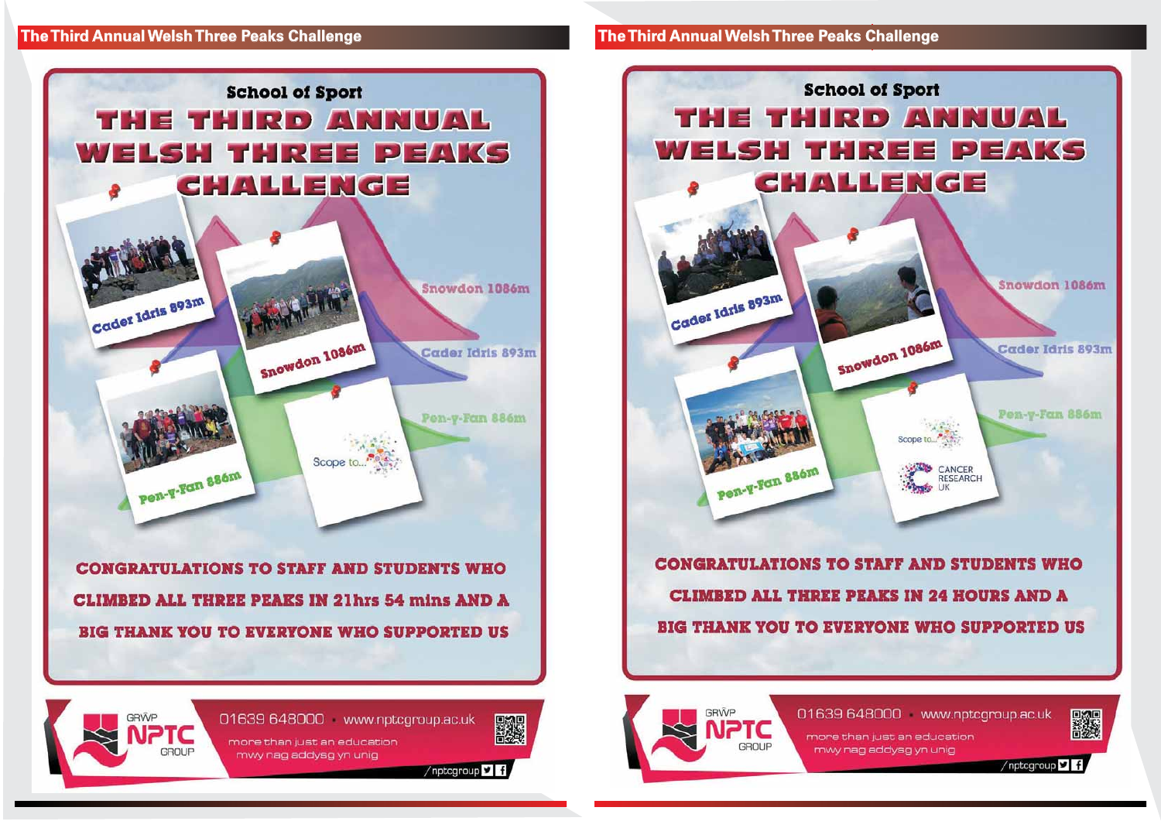### **TheThird Annual WelshThree Peaks Challenge TheThird Annual WelshThree Peaks Challenge**

GRWP









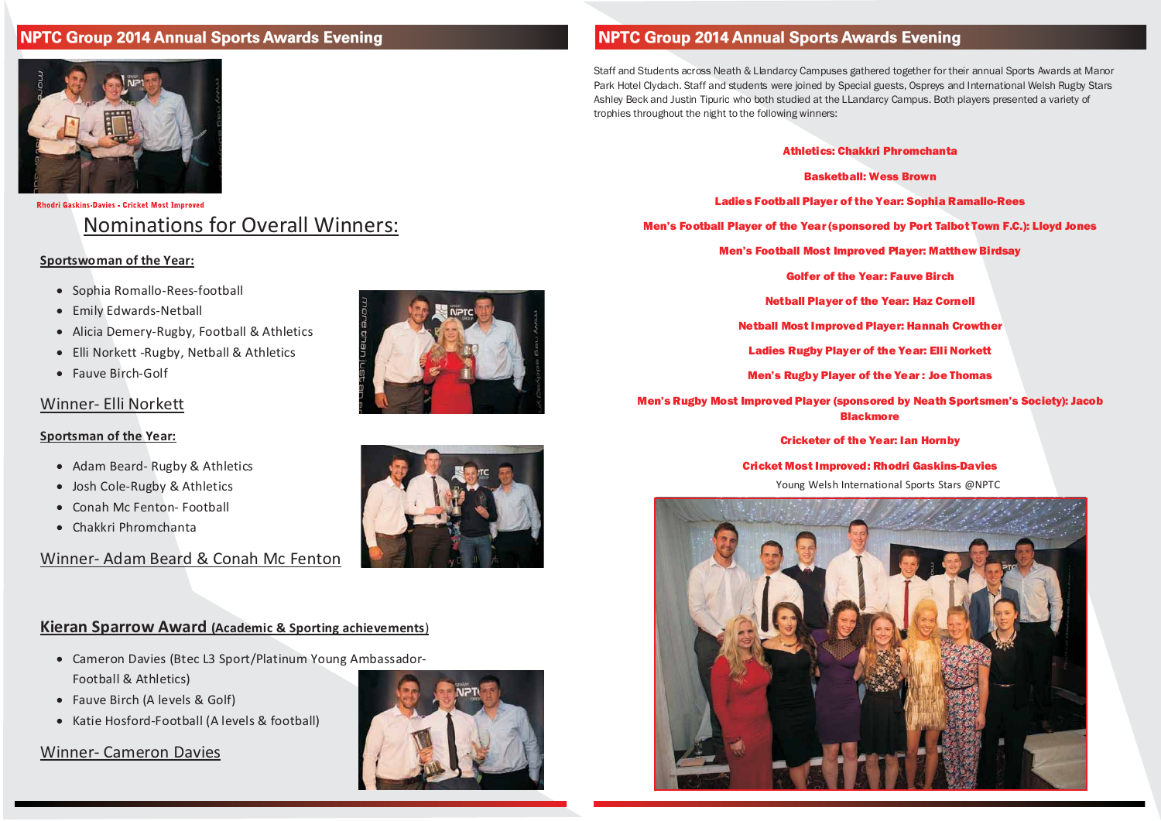# **NPTC Group 2014 Annual Sports Awards Evening**

Staff and Students across Neath & Llandarcy Campuses gathered together for their annual Sports Awards at Manor Park Hotel Clydach. Staff and students were joined by Special guests, Ospreys and International Welsh Rugby Stars Ashley Beck and Justin Tipuric who both studied at the LLandarcy Campus. Both players presented <sup>a</sup> variety of trophies throughout the night to the following winners:

### Athletics: Chakkri Phromchanta

### **Rhodri Gaskins-Davies - Cricket Most Improved** Nominations for Overall Winners:

- Sophia Romallo-Rees-football
- Emily Edwards-Netball
- Alicia Demery-Rugby, Football & Athletics
- Elli Norkett -Rugby, Netball & Athletics
- Fauve Birch-Golf
- Basketball: Wess Brown
- Ladies Football Player of the Year: Sophia Ramallo-Rees
- Men's Football Player of the Year (sponsored by Port Talbot Town F.C.): Lloyd Jones
	- Men's Football Most Improved Player: Matthew Birdsay
		- Golfer of the Year: Fauve Birch
		- Netball Player of the Year: Haz Cornell
		- Netball Most Improved Player: Hannah Crowther
		- Ladies Rugby Player of the Year: Elli Norkett
		- Men's Rugby Player of the Year : Joe Thomas
- Men's Rugby Most Improved Player (sponsored by Neath Sportsmen's Society): Jacob **Blackmore** 
	- Cricketer of the Year: Ian Hornby

- Adam Beard- Rugby & Athletics
- Josh Cole-Rugby & Athletics
- Conah Mc Fenton- Football
- Chakkri Phromchanta

### Cricket Most Improved: Rhodri Gaskins-Davies







# **NPTC Group 2014 Annual Sports Awards Evening**



### **Sportswoman of the Year:**

### Winner- Elli Norkett

### **Sportsman of the Year:**

### Winner- Adam Beard & Conah Mc Fenton



- Cameron Davies (Btec L3 Sport/Platinum Young Ambassador-Football & Athletics)
- Fauve Birch (A levels & Golf)
- Katie Hosford-Football (A levels & football)

### Winner- Cameron Davies



- 
- Young Welsh International Sports Stars @NPTC